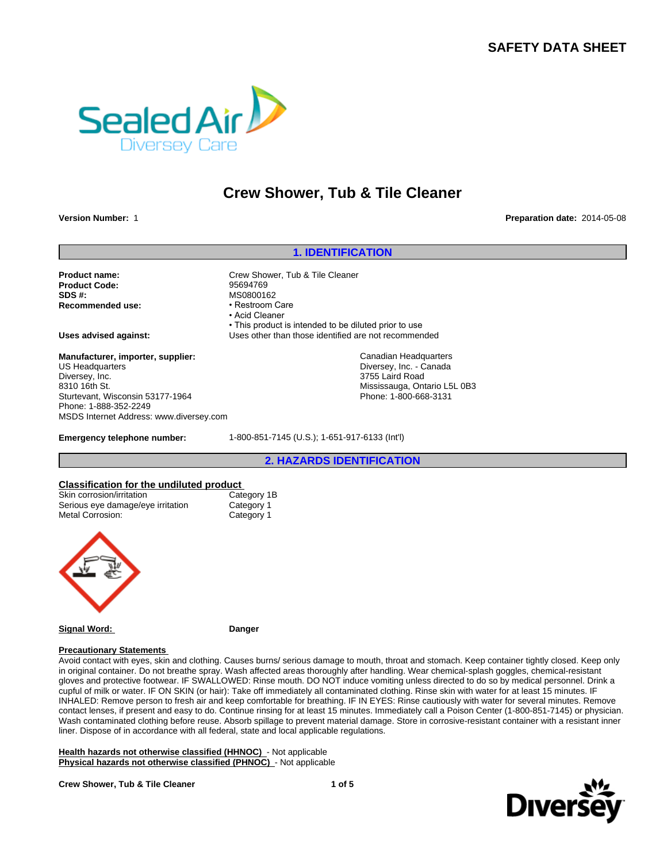# **SAFETY DATA SHEET**



# **Crew Shower, Tub & Tile Cleaner**

**Version Number:** 1 **Preparation date:** 2014-05-08

## **1. IDENTIFICATION**

**Product name:** Crew Shower, Tub & Tile Cleaner **Product Code:** 95694769 **SDS #:**<br> **Recommended use:**<br> **Restroom Care**<br> **Restroom Care Recommended use:** 

• Acid Cleaner • This product is intended to be diluted prior to use **Uses advised against:** Uses other than those identified are not recommended

> Canadian Headquarters Diversey, Inc. - Canada 3755 Laird Road Mississauga, Ontario L5L 0B3 Phone: 1-800-668-3131

**Manufacturer, importer, supplier:** US Headquarters Diversey, Inc. 8310 16th St. Sturtevant, Wisconsin 53177-1964 Phone: 1-888-352-2249 MSDS Internet Address: www.diversey.com

**Emergency telephone number:** 1-800-851-7145 (U.S.); 1-651-917-6133 (Int'l)

**2. HAZARDS IDENTIFICATION**

## **Classification for the undiluted product**

| Skin corrosion/irritation         |
|-----------------------------------|
| Serious eye damage/eye irritation |
| <b>Metal Corrosion:</b>           |

Category 1B Category 1 Category 1



**Signal Word: Danger**

#### **Precautionary Statements**

Avoid contact with eyes, skin and clothing. Causes burns/ serious damage to mouth, throat and stomach. Keep container tightly closed. Keep only in original container. Do not breathe spray. Wash affected areas thoroughly after handling. Wear chemical-splash goggles, chemical-resistant gloves and protective footwear. IF SWALLOWED: Rinse mouth. DO NOT induce vomiting unless directed to do so by medical personnel. Drink a cupful of milk or water. IF ON SKIN (or hair): Take off immediately all contaminated clothing. Rinse skin with water for at least 15 minutes. IF INHALED: Remove person to fresh air and keep comfortable for breathing. IF IN EYES: Rinse cautiously with water for several minutes. Remove contact lenses, if present and easy to do. Continue rinsing for at least 15 minutes. Immediately call a Poison Center (1-800-851-7145) or physician. Wash contaminated clothing before reuse. Absorb spillage to prevent material damage. Store in corrosive-resistant container with a resistant inner liner. Dispose of in accordance with all federal, state and local applicable regulations.

**Health hazards not otherwise classified (HHNOC)** - Not applicable **Physical hazards not otherwise classified (PHNOC)** - Not applicable

#### **Crew Shower, Tub & Tile Cleaner**



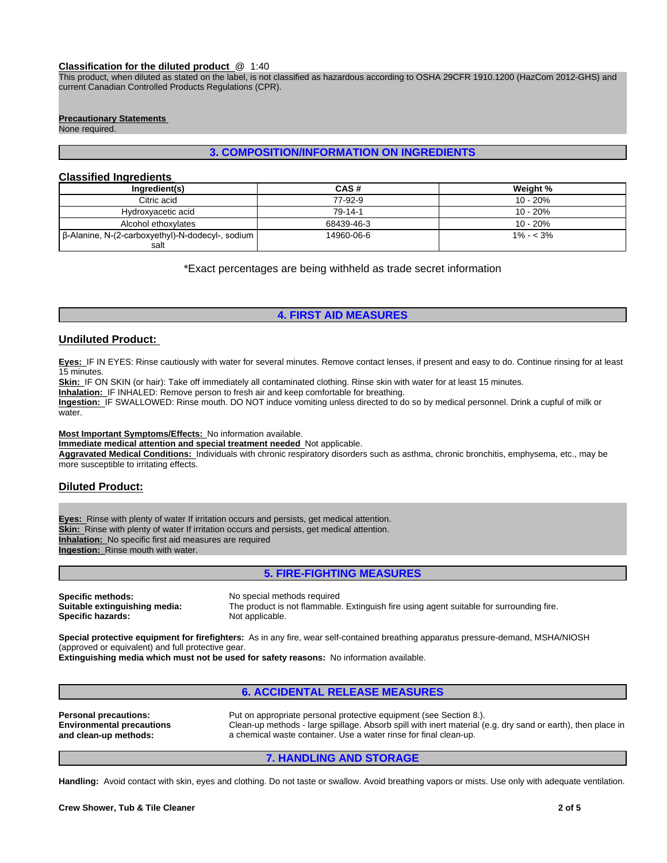#### **Classification for the diluted product** @ 1:40

This product, when diluted as stated on the label, is not classified as hazardous according to OSHA 29CFR 1910.1200 (HazCom 2012-GHS) and current Canadian Controlled Products Regulations (CPR).

#### **Precautionary Statements**

None required.

# **3. COMPOSITION/INFORMATION ON INGREDIENTS**

# **Classified Ingredients**

| Inaredient(s)                                    | CAS#       | Weight %    |
|--------------------------------------------------|------------|-------------|
| Citric acid                                      | 77-92-9    | $10 - 20%$  |
| Hydroxyacetic acid                               | 79-14-1    | 10 - 20%    |
| Alcohol ethoxylates                              | 68439-46-3 | 10 - 20%    |
| β-Alanine, N-(2-carboxyethyl)-N-dodecyl-, sodium | 14960-06-6 | $1\% - 3\%$ |
| salt                                             |            |             |

\*Exact percentages are being withheld as trade secret information

# **4. FIRST AID MEASURES**

### **Undiluted Product:**

**Eyes:** IF IN EYES: Rinse cautiously with water for several minutes. Remove contact lenses, if present and easy to do. Continue rinsing for at least 15 minutes.

Skin: IF ON SKIN (or hair): Take off immediately all contaminated clothing. Rinse skin with water for at least 15 minutes.

**Inhalation:** IF INHALED: Remove person to fresh air and keep comfortable for breathing.

**Ingestion:** IF SWALLOWED: Rinse mouth. DO NOT induce vomiting unless directed to do so by medical personnel. Drink a cupful of milk or water

#### **Most Important Symptoms/Effects:** No information available.

**Immediate medical attention and special treatment needed** Not applicable.

**Aggravated Medical Conditions:** Individuals with chronic respiratory disorders such as asthma, chronic bronchitis, emphysema, etc., may be more susceptible to irritating effects.

# **Diluted Product:**

**Eyes:** Rinse with plenty of water If irritation occurs and persists, get medical attention. **Skin:** Rinse with plenty of water If irritation occurs and persists, get medical attention. **Inhalation:** No specific first aid measures are required **Ingestion:** Rinse mouth with water.

# **5. FIRE-FIGHTING MEASURES**

**Specific methods:** No special methods required **Specific hazards:** 

**Suitable extinguishing media:** The product is not flammable. Extinguish fire using agent suitable for surrounding fire.

**Special protective equipment for firefighters:** As in any fire, wear self-contained breathing apparatus pressure-demand, MSHA/NIOSH (approved or equivalent) and full protective gear.

**Extinguishing media which must not be used for safety reasons:** No information available.

# **6. ACCIDENTAL RELEASE MEASURES**

**Personal precautions:** Put on appropriate personal protective equipment (see Section 8.). **Environmental precautions and clean-up methods:** Clean-up methods - large spillage. Absorb spill with inert material (e.g. dry sand or earth), then place in a chemical waste container. Use a water rinse for final clean-up.

# **7. HANDLING AND STORAGE**

**Handling:** Avoid contact with skin, eyes and clothing. Do not taste or swallow. Avoid breathing vapors or mists. Use only with adequate ventilation.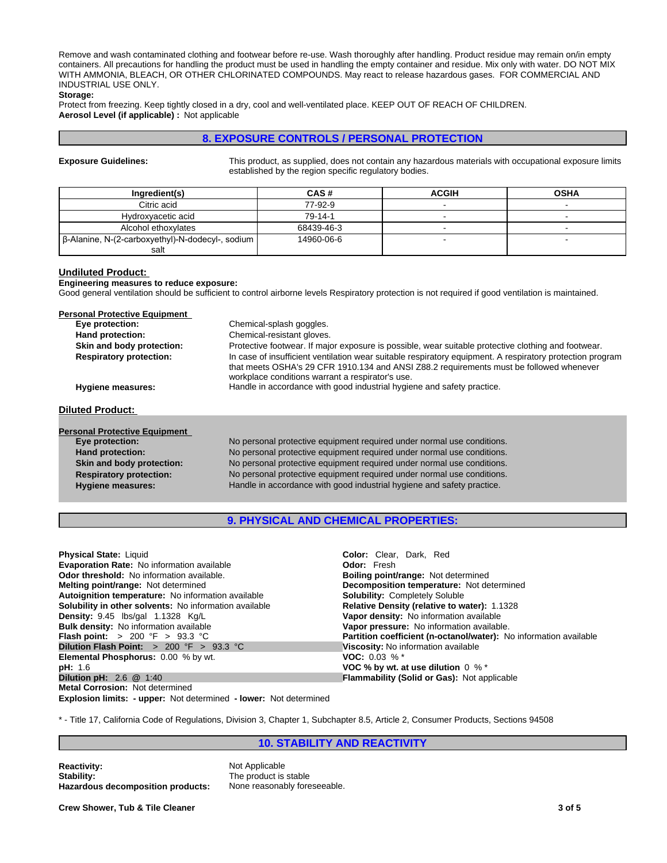Remove and wash contaminated clothing and footwear before re-use. Wash thoroughly after handling. Product residue may remain on/in empty containers. All precautions for handling the product must be used in handling the empty container and residue. Mix only with water. DO NOT MIX WITH AMMONIA, BLEACH, OR OTHER CHLORINATED COMPOUNDS. May react to release hazardous gases. FOR COMMERCIAL AND INDUSTRIAL USE ONLY.

### **Storage:**

Protect from freezing. Keep tightly closed in a dry, cool and well-ventilated place. KEEP OUT OF REACH OF CHILDREN. **Aerosol Level (if applicable) :** Not applicable

# **8. EXPOSURE CONTROLS / PERSONAL PROTECTION**

**Exposure Guidelines:** This product, as supplied, does not contain any hazardous materials with occupational exposure limits established by the region specific regulatory bodies.

| Ingredient(s)                                     | CAS#       | <b>ACGIH</b> | <b>OSHA</b> |
|---------------------------------------------------|------------|--------------|-------------|
| Citric acid                                       | 77-92-9    |              |             |
| Hydroxyacetic acid                                | 79-14-1    |              |             |
| Alcohol ethoxylates                               | 68439-46-3 |              |             |
| [β-Alanine, N-(2-carboxyethyl)-N-dodecyl-, sodium | 14960-06-6 |              |             |
| salt                                              |            |              |             |

#### **Undiluted Product:**

#### **Engineering measures to reduce exposure:**

Good general ventilation should be sufficient to control airborne levels Respiratory protection is not required if good ventilation is maintained.

| <b>Personal Protective Equipment</b> |                                                                                                                                                                                                                                                          |  |
|--------------------------------------|----------------------------------------------------------------------------------------------------------------------------------------------------------------------------------------------------------------------------------------------------------|--|
| Eye protection:                      | Chemical-splash goggles.                                                                                                                                                                                                                                 |  |
| Hand protection:                     | Chemical-resistant gloves.                                                                                                                                                                                                                               |  |
| Skin and body protection:            | Protective footwear. If major exposure is possible, wear suitable protective clothing and footwear.                                                                                                                                                      |  |
| <b>Respiratory protection:</b>       | In case of insufficient ventilation wear suitable respiratory equipment. A respiratory protection program<br>that meets OSHA's 29 CFR 1910.134 and ANSI Z88.2 requirements must be followed whenever<br>workplace conditions warrant a respirator's use. |  |
| Hygiene measures:                    | Handle in accordance with good industrial hygiene and safety practice.                                                                                                                                                                                   |  |
|                                      |                                                                                                                                                                                                                                                          |  |
| <b>Diluted Product:</b>              |                                                                                                                                                                                                                                                          |  |
| <b>Personal Protective Equipment</b> |                                                                                                                                                                                                                                                          |  |
| Eye protection:                      | No personal protective equipment required under normal use conditions.                                                                                                                                                                                   |  |
| Hand protection:                     | No personal protective equipment required under normal use conditions.                                                                                                                                                                                   |  |
| Skin and body protection:            | No personal protective equipment required under normal use conditions.                                                                                                                                                                                   |  |
| <b>Respiratory protection:</b>       | No personal protective equipment required under normal use conditions.                                                                                                                                                                                   |  |
| <b>Hygiene measures:</b>             | Handle in accordance with good industrial hygiene and safety practice.                                                                                                                                                                                   |  |
|                                      |                                                                                                                                                                                                                                                          |  |

# **9. PHYSICAL AND CHEMICAL PROPERTIES:**

| <b>Physical State: Liquid</b>                                 | <b>Color:</b> Clear, Dark, Red                                           |
|---------------------------------------------------------------|--------------------------------------------------------------------------|
|                                                               |                                                                          |
| <b>Evaporation Rate: No information available</b>             | <b>Odor: Fresh</b>                                                       |
| <b>Odor threshold:</b> No information available.              | <b>Boiling point/range: Not determined</b>                               |
| <b>Melting point/range: Not determined</b>                    | <b>Decomposition temperature:</b> Not determined                         |
| Autoignition temperature: No information available            | <b>Solubility: Completely Soluble</b>                                    |
| <b>Solubility in other solvents:</b> No information available | <b>Relative Density (relative to water): 1.1328</b>                      |
| Density: 9.45 lbs/gal 1.1328 Kg/L                             | Vapor density: No information available                                  |
| <b>Bulk density:</b> No information available                 | Vapor pressure: No information available.                                |
| <b>Flash point:</b> > 200 °F > 93.3 °C                        | <b>Partition coefficient (n-octanol/water):</b> No information available |
| Dilution Flash Point: $> 200$ °F $> 93.3$ °C                  | Viscosity: No information available                                      |
| <b>Elemental Phosphorus: 0.00 % by wt.</b>                    | <b>VOC:</b> 0.03 % $*$                                                   |
| pH: 1.6                                                       | VOC % by wt. at use dilution $0\%$ *                                     |
| <b>Dilution pH:</b> $2.6 \t@ 1:40$                            | <b>Flammability (Solid or Gas): Not applicable</b>                       |
| <b>Metal Corrosion: Not determined</b>                        |                                                                          |

**Explosion limits: - upper:** Not determined **- lower:** Not determined

\* - Title 17, California Code of Regulations, Division 3, Chapter 1, Subchapter 8.5, Article 2, Consumer Products, Sections 94508

# **10. STABILITY AND REACTIVITY**

**Reactivity:** Not Applicable **Stability:** The product is stable **Hazardous decomposition products:** None reasonably foreseeable.

**Crew Shower, Tub & Tile Cleaner 3 of 5**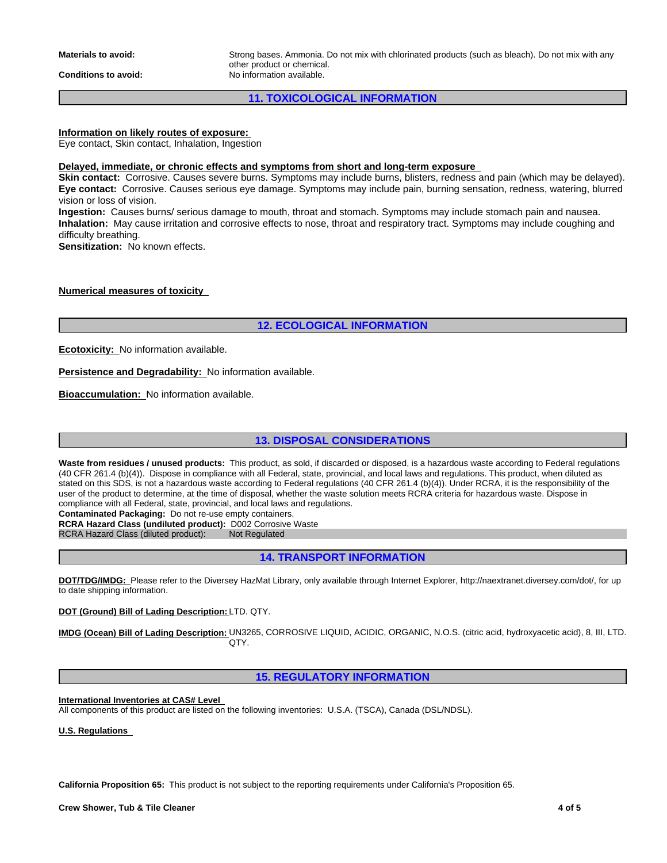**Conditions to avoid:** No information available.

**Materials to avoid:** Strong bases. Ammonia. Do not mix with chlorinated products (such as bleach). Do not mix with any other product or chemical.

# **11. TOXICOLOGICAL INFORMATION**

# **Information on likely routes of exposure:**

Eye contact, Skin contact, Inhalation, Ingestion

#### **Delayed, immediate, or chronic effects and symptoms from short and long-term exposure**

**Skin contact:** Corrosive. Causes severe burns. Symptoms may include burns, blisters, redness and pain (which may be delayed). **Eye contact:** Corrosive. Causes serious eye damage. Symptoms may include pain, burning sensation, redness, watering, blurred vision or loss of vision.

**Ingestion:** Causes burns/ serious damage to mouth, throat and stomach. Symptoms may include stomach pain and nausea. **Inhalation:** May cause irritation and corrosive effects to nose, throat and respiratory tract. Symptoms may include coughing and difficulty breathing.

**Sensitization:** No known effects.

**Numerical measures of toxicity** 

**12. ECOLOGICAL INFORMATION**

**Ecotoxicity:** No information available.

**Persistence and Degradability:** No information available.

**Bioaccumulation:** No information available.

# **13. DISPOSAL CONSIDERATIONS**

Waste from residues / unused products: This product, as sold, if discarded or disposed, is a hazardous waste according to Federal regulations (40 CFR 261.4 (b)(4)). Dispose in compliance with all Federal, state, provincial, and local laws and regulations. This product, when diluted as stated on this SDS, is not a hazardous waste according to Federal regulations (40 CFR 261.4 (b)(4)). Under RCRA, it is the responsibility of the user of the product to determine, at the time of disposal, whether the waste solution meets RCRA criteria for hazardous waste. Dispose in compliance with all Federal, state, provincial, and local laws and regulations.

**Contaminated Packaging:** Do not re-use empty containers.

**RCRA Hazard Class (undiluted product):** D002 Corrosive Waste RCRA Hazard Class (diluted product): Not Regulated

RCRA Hazard Class (diluted product):

**14. TRANSPORT INFORMATION**

**DOT/TDG/IMDG:** Please refer to the Diversey HazMat Library, only available through Internet Explorer, http://naextranet.diversey.com/dot/, for up to date shipping information.

**DOT (Ground) Bill of Lading Description:** LTD. QTY.

**IMDG (Ocean) Bill of Lading Description:** UN3265, CORROSIVE LIQUID, ACIDIC, ORGANIC, N.O.S. (citric acid, hydroxyacetic acid), 8, III, LTD. QTY.

# **15. REGULATORY INFORMATION**

**International Inventories at CAS# Level**  All components of this product are listed on the following inventories: U.S.A. (TSCA), Canada (DSL/NDSL).

**U.S. Regulations** 

**California Proposition 65:** This product is not subject to the reporting requirements under California's Proposition 65.